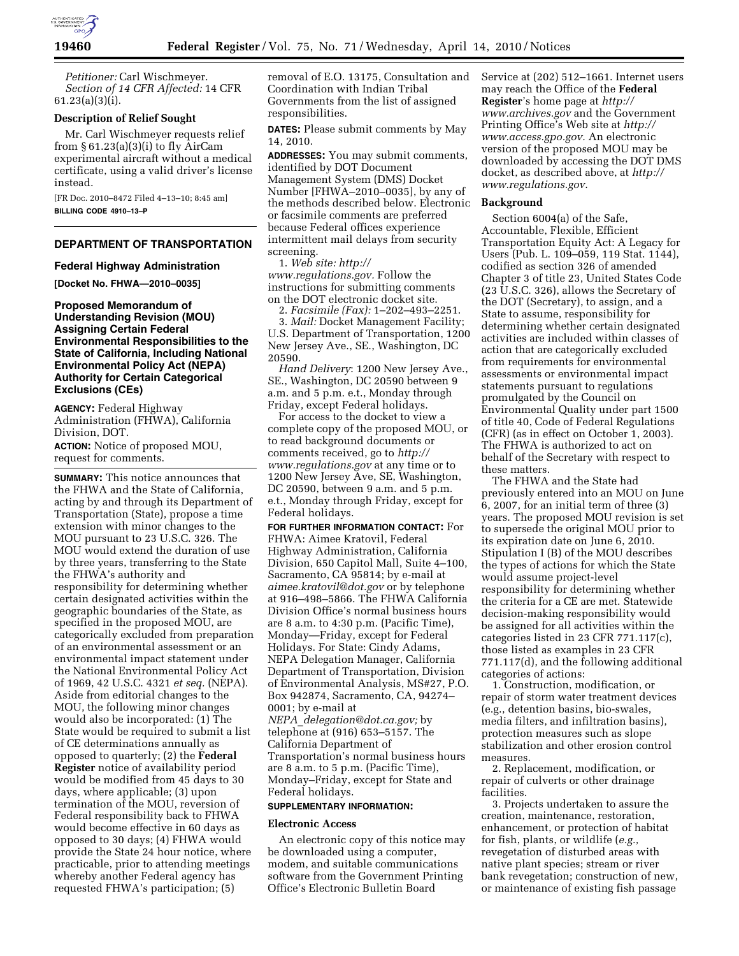

*Petitioner:* Carl Wischmeyer. *Section of 14 CFR Affected:* 14 CFR 61.23(a)(3)(i).

#### **Description of Relief Sought**

Mr. Carl Wischmeyer requests relief from  $\S 61.23(a)(3)(i)$  to fly AirCam experimental aircraft without a medical certificate, using a valid driver's license instead.

[FR Doc. 2010–8472 Filed 4–13–10; 8:45 am] **BILLING CODE 4910–13–P** 

## **DEPARTMENT OF TRANSPORTATION**

#### **Federal Highway Administration**

**[Docket No. FHWA—2010–0035]** 

**Proposed Memorandum of Understanding Revision (MOU) Assigning Certain Federal Environmental Responsibilities to the State of California, Including National Environmental Policy Act (NEPA) Authority for Certain Categorical Exclusions (CEs)** 

**AGENCY:** Federal Highway Administration (FHWA), California Division, DOT.

**ACTION:** Notice of proposed MOU, request for comments.

**SUMMARY:** This notice announces that the FHWA and the State of California, acting by and through its Department of Transportation (State), propose a time extension with minor changes to the MOU pursuant to 23 U.S.C. 326. The MOU would extend the duration of use by three years, transferring to the State the FHWA's authority and responsibility for determining whether certain designated activities within the geographic boundaries of the State, as specified in the proposed MOU, are categorically excluded from preparation of an environmental assessment or an environmental impact statement under the National Environmental Policy Act of 1969, 42 U.S.C. 4321 *et seq.* (NEPA). Aside from editorial changes to the MOU, the following minor changes would also be incorporated: (1) The State would be required to submit a list of CE determinations annually as opposed to quarterly; (2) the **Federal Register** notice of availability period would be modified from 45 days to 30 days, where applicable; (3) upon termination of the MOU, reversion of Federal responsibility back to FHWA would become effective in 60 days as opposed to 30 days; (4) FHWA would provide the State 24 hour notice, where practicable, prior to attending meetings whereby another Federal agency has requested FHWA's participation; (5)

removal of E.O. 13175, Consultation and Coordination with Indian Tribal Governments from the list of assigned responsibilities.

**DATES:** Please submit comments by May 14, 2010.

**ADDRESSES:** You may submit comments, identified by DOT Document Management System (DMS) Docket Number [FHWA–2010–0035], by any of the methods described below. Electronic or facsimile comments are preferred because Federal offices experience intermittent mail delays from security screening.

1. *Web site: http:// www.regulations.gov.* Follow the instructions for submitting comments

on the DOT electronic docket site. 2. *Facsimile (Fax):* 1–202–493–2251.

U.S. Department of Transportation, 1200 New Jersey Ave., SE., Washington, DC 20590.

*Hand Delivery*: 1200 New Jersey Ave., SE., Washington, DC 20590 between 9 a.m. and 5 p.m. e.t., Monday through Friday, except Federal holidays.

For access to the docket to view a complete copy of the proposed MOU, or to read background documents or comments received, go to *http:// www.regulations.gov* at any time or to 1200 New Jersey Ave, SE, Washington, DC 20590, between 9 a.m. and 5 p.m. e.t., Monday through Friday, except for Federal holidays.

**FOR FURTHER INFORMATION CONTACT:** For FHWA: Aimee Kratovil, Federal Highway Administration, California Division, 650 Capitol Mall, Suite 4–100, Sacramento, CA 95814; by e-mail at *aimee.kratovil@dot.gov* or by telephone at 916–498–5866. The FHWA California Division Office's normal business hours are 8 a.m. to 4:30 p.m. (Pacific Time), Monday—Friday, except for Federal Holidays. For State: Cindy Adams, NEPA Delegation Manager, California Department of Transportation, Division of Environmental Analysis, MS#27, P.O. Box 942874, Sacramento, CA, 94274– 0001; by e-mail at *NEPA*\_*delegation@dot.ca.gov;* by telephone at (916) 653–5157. The California Department of Transportation's normal business hours are 8 a.m. to 5 p.m. (Pacific Time), Monday–Friday, except for State and Federal holidays.

### **SUPPLEMENTARY INFORMATION:**

#### **Electronic Access**

An electronic copy of this notice may be downloaded using a computer, modem, and suitable communications software from the Government Printing Office's Electronic Bulletin Board

Service at (202) 512–1661. Internet users may reach the Office of the **Federal Register**'s home page at *http:// www.archives.gov* and the Government Printing Office's Web site at *http:// www.access.gpo.gov.* An electronic version of the proposed MOU may be downloaded by accessing the DOT DMS docket, as described above, at *http:// www.regulations.gov*.

#### **Background**

Section 6004(a) of the Safe, Accountable, Flexible, Efficient Transportation Equity Act: A Legacy for Users (Pub. L. 109–059, 119 Stat. 1144), codified as section 326 of amended Chapter 3 of title 23, United States Code (23 U.S.C. 326), allows the Secretary of the DOT (Secretary), to assign, and a State to assume, responsibility for determining whether certain designated activities are included within classes of action that are categorically excluded from requirements for environmental assessments or environmental impact statements pursuant to regulations promulgated by the Council on Environmental Quality under part 1500 of title 40, Code of Federal Regulations (CFR) (as in effect on October 1, 2003). The FHWA is authorized to act on behalf of the Secretary with respect to these matters.

The FHWA and the State had previously entered into an MOU on June 6, 2007, for an initial term of three (3) years. The proposed MOU revision is set to supersede the original MOU prior to its expiration date on June 6, 2010. Stipulation I (B) of the MOU describes the types of actions for which the State would assume project-level responsibility for determining whether the criteria for a CE are met. Statewide decision-making responsibility would be assigned for all activities within the categories listed in 23 CFR 771.117(c), those listed as examples in 23 CFR 771.117(d), and the following additional categories of actions:

1. Construction, modification, or repair of storm water treatment devices (e.g., detention basins, bio-swales, media filters, and infiltration basins), protection measures such as slope stabilization and other erosion control measures.

2. Replacement, modification, or repair of culverts or other drainage facilities.

3. Projects undertaken to assure the creation, maintenance, restoration, enhancement, or protection of habitat for fish, plants, or wildlife (*e.g.,*  revegetation of disturbed areas with native plant species; stream or river bank revegetation; construction of new, or maintenance of existing fish passage

<sup>3.</sup> *Mail:* Docket Management Facility;